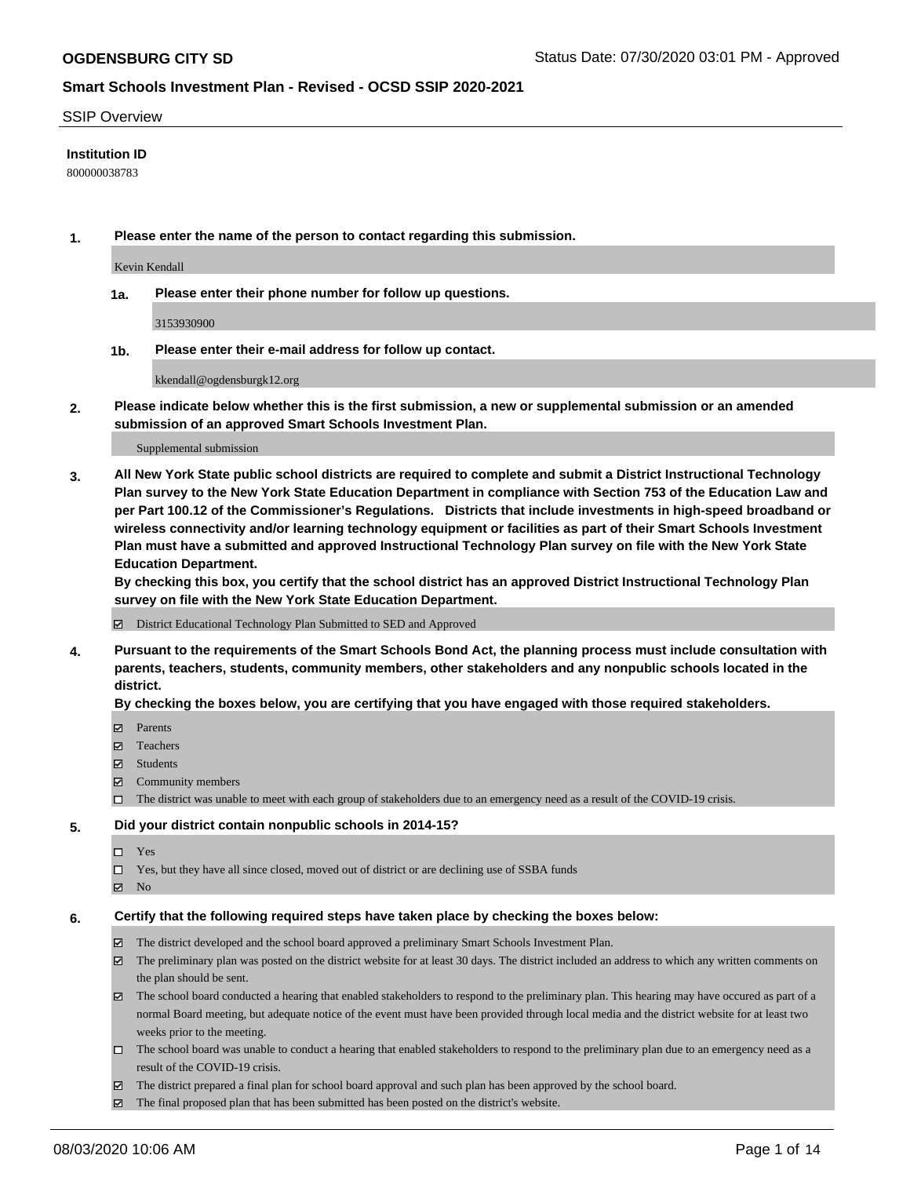#### SSIP Overview

### **Institution ID**

800000038783

**1. Please enter the name of the person to contact regarding this submission.**

Kevin Kendall

**1a. Please enter their phone number for follow up questions.**

3153930900

**1b. Please enter their e-mail address for follow up contact.**

kkendall@ogdensburgk12.org

**2. Please indicate below whether this is the first submission, a new or supplemental submission or an amended submission of an approved Smart Schools Investment Plan.**

#### Supplemental submission

**3. All New York State public school districts are required to complete and submit a District Instructional Technology Plan survey to the New York State Education Department in compliance with Section 753 of the Education Law and per Part 100.12 of the Commissioner's Regulations. Districts that include investments in high-speed broadband or wireless connectivity and/or learning technology equipment or facilities as part of their Smart Schools Investment Plan must have a submitted and approved Instructional Technology Plan survey on file with the New York State Education Department.** 

**By checking this box, you certify that the school district has an approved District Instructional Technology Plan survey on file with the New York State Education Department.**

District Educational Technology Plan Submitted to SED and Approved

**4. Pursuant to the requirements of the Smart Schools Bond Act, the planning process must include consultation with parents, teachers, students, community members, other stakeholders and any nonpublic schools located in the district.** 

### **By checking the boxes below, you are certifying that you have engaged with those required stakeholders.**

- **Ø** Parents
- Teachers
- Students
- $\boxtimes$  Community members
- The district was unable to meet with each group of stakeholders due to an emergency need as a result of the COVID-19 crisis.

#### **5. Did your district contain nonpublic schools in 2014-15?**

- $\neg$  Yes
- Yes, but they have all since closed, moved out of district or are declining use of SSBA funds
- **Z** No

#### **6. Certify that the following required steps have taken place by checking the boxes below:**

- The district developed and the school board approved a preliminary Smart Schools Investment Plan.
- $\boxtimes$  The preliminary plan was posted on the district website for at least 30 days. The district included an address to which any written comments on the plan should be sent.
- $\boxtimes$  The school board conducted a hearing that enabled stakeholders to respond to the preliminary plan. This hearing may have occured as part of a normal Board meeting, but adequate notice of the event must have been provided through local media and the district website for at least two weeks prior to the meeting.
- The school board was unable to conduct a hearing that enabled stakeholders to respond to the preliminary plan due to an emergency need as a result of the COVID-19 crisis.
- The district prepared a final plan for school board approval and such plan has been approved by the school board.
- $\boxtimes$  The final proposed plan that has been submitted has been posted on the district's website.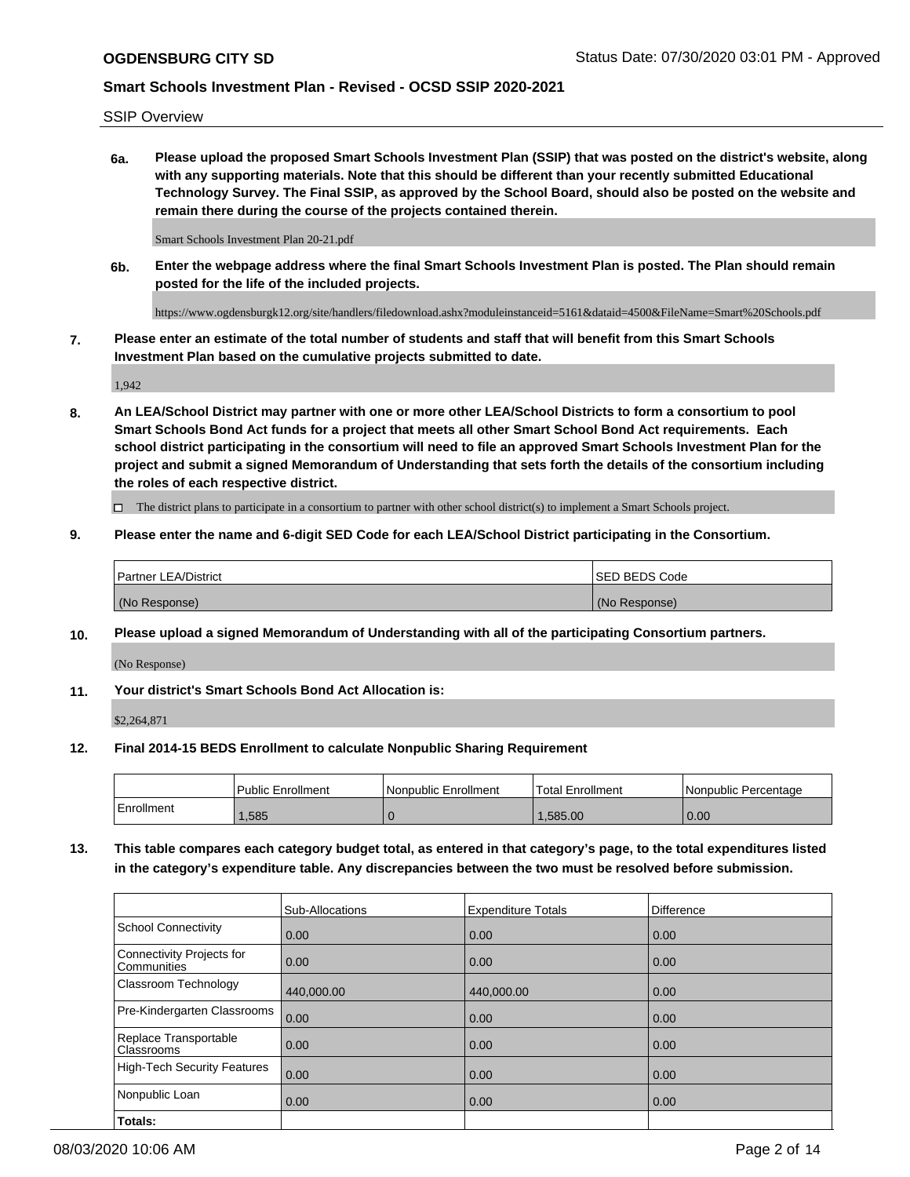SSIP Overview

**6a. Please upload the proposed Smart Schools Investment Plan (SSIP) that was posted on the district's website, along with any supporting materials. Note that this should be different than your recently submitted Educational Technology Survey. The Final SSIP, as approved by the School Board, should also be posted on the website and remain there during the course of the projects contained therein.**

Smart Schools Investment Plan 20-21.pdf

**6b. Enter the webpage address where the final Smart Schools Investment Plan is posted. The Plan should remain posted for the life of the included projects.**

https://www.ogdensburgk12.org/site/handlers/filedownload.ashx?moduleinstanceid=5161&dataid=4500&FileName=Smart%20Schools.pdf

**7. Please enter an estimate of the total number of students and staff that will benefit from this Smart Schools Investment Plan based on the cumulative projects submitted to date.**

1,942

**8. An LEA/School District may partner with one or more other LEA/School Districts to form a consortium to pool Smart Schools Bond Act funds for a project that meets all other Smart School Bond Act requirements. Each school district participating in the consortium will need to file an approved Smart Schools Investment Plan for the project and submit a signed Memorandum of Understanding that sets forth the details of the consortium including the roles of each respective district.**

 $\Box$  The district plans to participate in a consortium to partner with other school district(s) to implement a Smart Schools project.

### **9. Please enter the name and 6-digit SED Code for each LEA/School District participating in the Consortium.**

| <sup>1</sup> Partner LEA/District | <b>ISED BEDS Code</b> |
|-----------------------------------|-----------------------|
| (No Response)                     | (No Response)         |

### **10. Please upload a signed Memorandum of Understanding with all of the participating Consortium partners.**

(No Response)

**11. Your district's Smart Schools Bond Act Allocation is:**

\$2,264,871

#### **12. Final 2014-15 BEDS Enrollment to calculate Nonpublic Sharing Requirement**

|            | Public Enrollment | Nonpublic Enrollment | Total Enrollment | I Nonpublic Percentage |
|------------|-------------------|----------------------|------------------|------------------------|
| Enrollment | ,585              |                      | .585.00          | 0.00                   |

**13. This table compares each category budget total, as entered in that category's page, to the total expenditures listed in the category's expenditure table. Any discrepancies between the two must be resolved before submission.**

|                                          | Sub-Allocations | <b>Expenditure Totals</b> | <b>Difference</b> |
|------------------------------------------|-----------------|---------------------------|-------------------|
| <b>School Connectivity</b>               | 0.00            | 0.00                      | 0.00              |
| Connectivity Projects for<br>Communities | 0.00            | 0.00                      | 0.00              |
| Classroom Technology                     | 440,000.00      | 440,000.00                | 0.00              |
| Pre-Kindergarten Classrooms              | 0.00            | 0.00                      | 0.00              |
| Replace Transportable<br>Classrooms      | 0.00            | 0.00                      | 0.00              |
| High-Tech Security Features              | 0.00            | 0.00                      | 0.00              |
| Nonpublic Loan                           | 0.00            | 0.00                      | 0.00              |
| Totals:                                  |                 |                           |                   |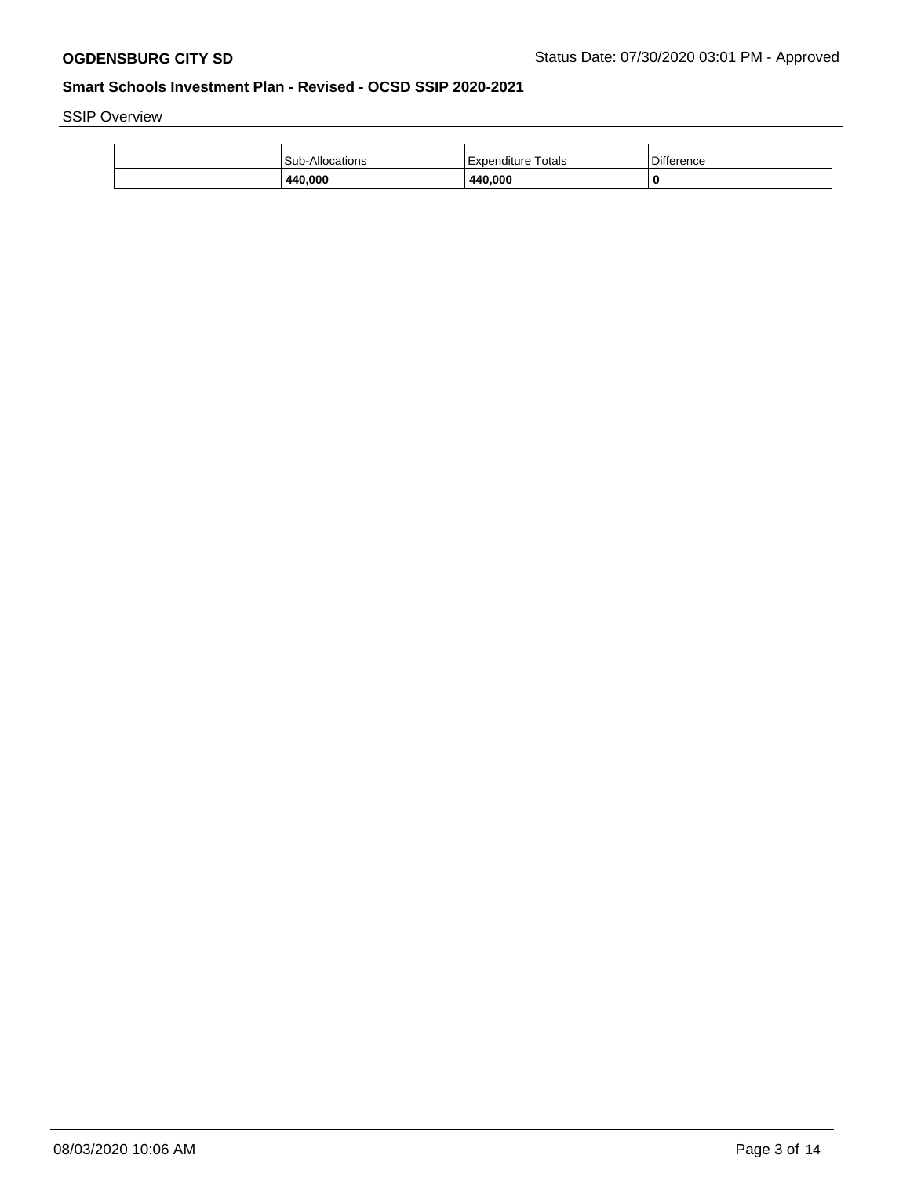SSIP Overview

| 440,000         | 440.000                 | 0                 |
|-----------------|-------------------------|-------------------|
| Sub-Allocations | Totals<br>l Expenditure | <b>Difference</b> |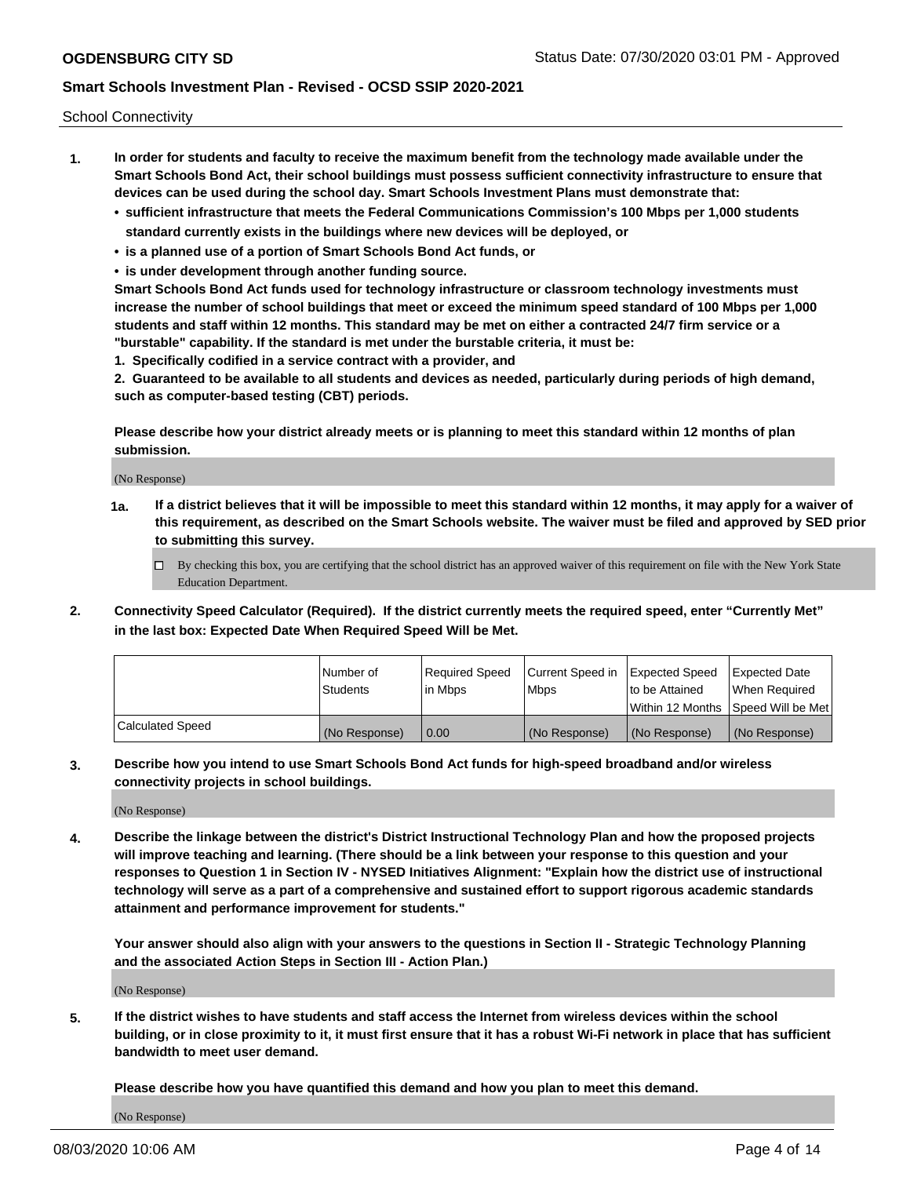School Connectivity

- **1. In order for students and faculty to receive the maximum benefit from the technology made available under the Smart Schools Bond Act, their school buildings must possess sufficient connectivity infrastructure to ensure that devices can be used during the school day. Smart Schools Investment Plans must demonstrate that:**
	- **• sufficient infrastructure that meets the Federal Communications Commission's 100 Mbps per 1,000 students standard currently exists in the buildings where new devices will be deployed, or**
	- **• is a planned use of a portion of Smart Schools Bond Act funds, or**
	- **• is under development through another funding source.**

**Smart Schools Bond Act funds used for technology infrastructure or classroom technology investments must increase the number of school buildings that meet or exceed the minimum speed standard of 100 Mbps per 1,000 students and staff within 12 months. This standard may be met on either a contracted 24/7 firm service or a "burstable" capability. If the standard is met under the burstable criteria, it must be:**

**1. Specifically codified in a service contract with a provider, and**

**2. Guaranteed to be available to all students and devices as needed, particularly during periods of high demand, such as computer-based testing (CBT) periods.**

**Please describe how your district already meets or is planning to meet this standard within 12 months of plan submission.**

(No Response)

**1a. If a district believes that it will be impossible to meet this standard within 12 months, it may apply for a waiver of this requirement, as described on the Smart Schools website. The waiver must be filed and approved by SED prior to submitting this survey.**

 $\Box$  By checking this box, you are certifying that the school district has an approved waiver of this requirement on file with the New York State Education Department.

**2. Connectivity Speed Calculator (Required). If the district currently meets the required speed, enter "Currently Met" in the last box: Expected Date When Required Speed Will be Met.**

|                  | l Number of     | Required Speed | Current Speed in | Expected Speed  | Expected Date                           |
|------------------|-----------------|----------------|------------------|-----------------|-----------------------------------------|
|                  | <b>Students</b> | In Mbps        | l Mbps           | to be Attained  | When Required                           |
|                  |                 |                |                  |                 | l Within 12 Months ISpeed Will be Met l |
| Calculated Speed | (No Response)   | 0.00           | (No Response)    | l (No Response) | l (No Response)                         |

**3. Describe how you intend to use Smart Schools Bond Act funds for high-speed broadband and/or wireless connectivity projects in school buildings.**

(No Response)

**4. Describe the linkage between the district's District Instructional Technology Plan and how the proposed projects will improve teaching and learning. (There should be a link between your response to this question and your responses to Question 1 in Section IV - NYSED Initiatives Alignment: "Explain how the district use of instructional technology will serve as a part of a comprehensive and sustained effort to support rigorous academic standards attainment and performance improvement for students."** 

**Your answer should also align with your answers to the questions in Section II - Strategic Technology Planning and the associated Action Steps in Section III - Action Plan.)**

(No Response)

**5. If the district wishes to have students and staff access the Internet from wireless devices within the school building, or in close proximity to it, it must first ensure that it has a robust Wi-Fi network in place that has sufficient bandwidth to meet user demand.**

**Please describe how you have quantified this demand and how you plan to meet this demand.**

(No Response)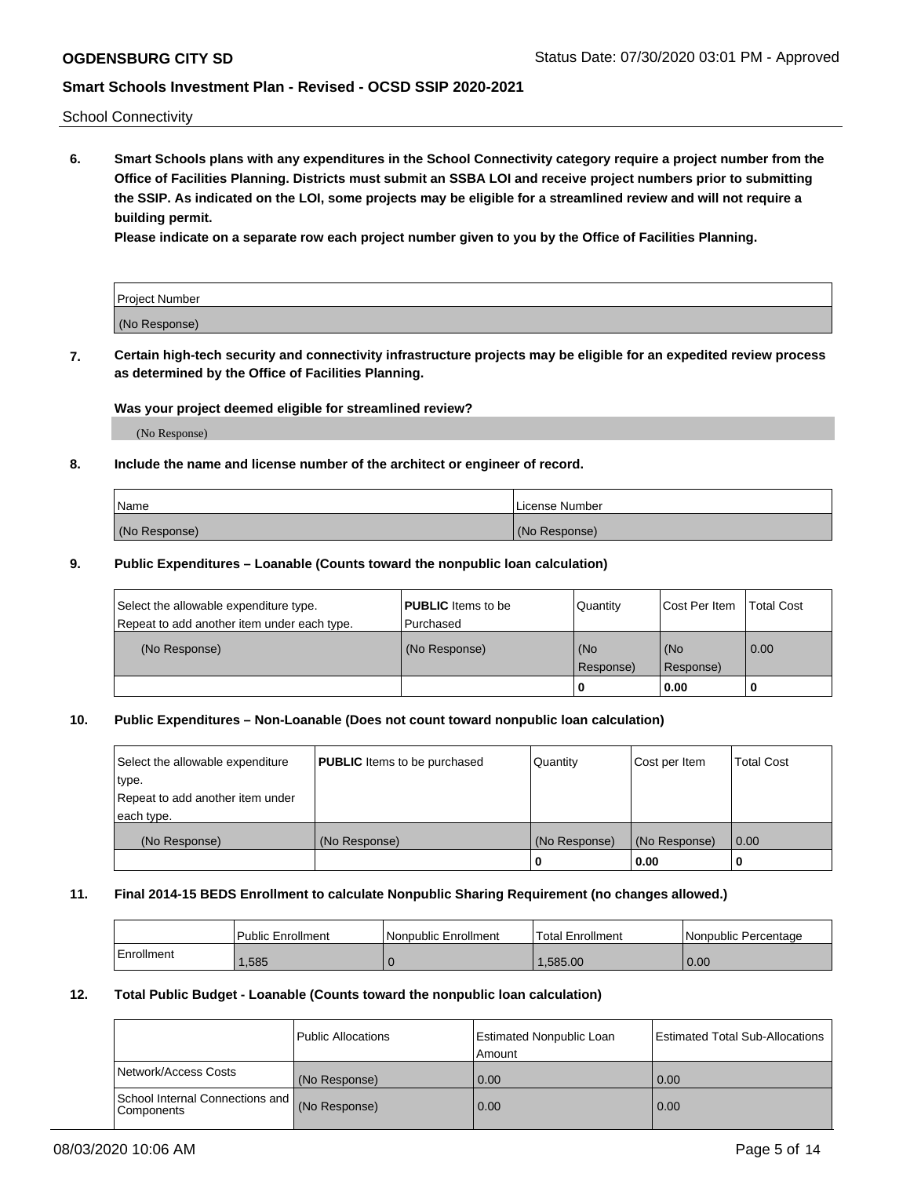School Connectivity

**6. Smart Schools plans with any expenditures in the School Connectivity category require a project number from the Office of Facilities Planning. Districts must submit an SSBA LOI and receive project numbers prior to submitting the SSIP. As indicated on the LOI, some projects may be eligible for a streamlined review and will not require a building permit.**

**Please indicate on a separate row each project number given to you by the Office of Facilities Planning.**

| Project Number |  |
|----------------|--|
| (No Response)  |  |

**7. Certain high-tech security and connectivity infrastructure projects may be eligible for an expedited review process as determined by the Office of Facilities Planning.**

### **Was your project deemed eligible for streamlined review?**

(No Response)

### **8. Include the name and license number of the architect or engineer of record.**

| Name          | License Number |
|---------------|----------------|
| (No Response) | (No Response)  |

### **9. Public Expenditures – Loanable (Counts toward the nonpublic loan calculation)**

| Select the allowable expenditure type.<br>Repeat to add another item under each type. | <b>PUBLIC</b> Items to be<br>l Purchased | Quantity           | Cost Per Item    | <b>Total Cost</b> |
|---------------------------------------------------------------------------------------|------------------------------------------|--------------------|------------------|-------------------|
| (No Response)                                                                         | (No Response)                            | l (No<br>Response) | (No<br>Response) | $\overline{0.00}$ |
|                                                                                       |                                          | 0                  | 0.00             |                   |

## **10. Public Expenditures – Non-Loanable (Does not count toward nonpublic loan calculation)**

| Select the allowable expenditure<br>type.<br>Repeat to add another item under<br>each type. | <b>PUBLIC</b> Items to be purchased | Quantity      | Cost per Item | <b>Total Cost</b> |
|---------------------------------------------------------------------------------------------|-------------------------------------|---------------|---------------|-------------------|
| (No Response)                                                                               | (No Response)                       | (No Response) | (No Response) | 0.00              |
|                                                                                             |                                     |               | 0.00          |                   |

#### **11. Final 2014-15 BEDS Enrollment to calculate Nonpublic Sharing Requirement (no changes allowed.)**

|            | Public Enrollment | l Nonpublic Enrollment | <b>Total Enrollment</b> | Nonpublic Percentage |
|------------|-------------------|------------------------|-------------------------|----------------------|
| Enrollment | ,585              |                        | .585.00                 | 0.00                 |

### **12. Total Public Budget - Loanable (Counts toward the nonpublic loan calculation)**

|                                                      | Public Allocations | <b>Estimated Nonpublic Loan</b><br>Amount | Estimated Total Sub-Allocations |
|------------------------------------------------------|--------------------|-------------------------------------------|---------------------------------|
| Network/Access Costs                                 | (No Response)      | 0.00                                      | 0.00                            |
| School Internal Connections and<br><b>Components</b> | (No Response)      | 0.00                                      | 0.00                            |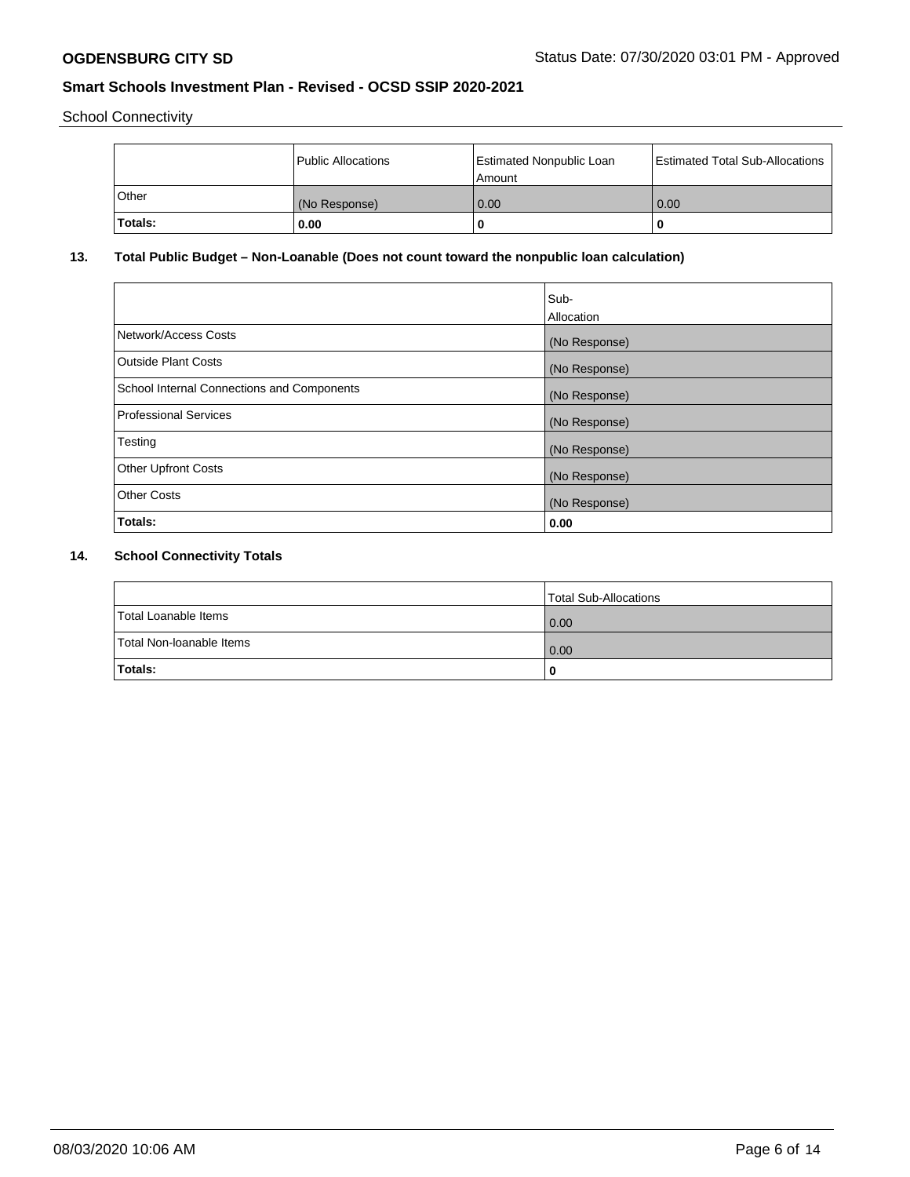School Connectivity

|                | Public Allocations | <b>Estimated Nonpublic Loan</b><br>l Amount | <b>Estimated Total Sub-Allocations</b> |
|----------------|--------------------|---------------------------------------------|----------------------------------------|
| l Other        | (No Response)      | 0.00                                        | 0.00                                   |
| <b>Totals:</b> | 0.00               | 0                                           |                                        |

## **13. Total Public Budget – Non-Loanable (Does not count toward the nonpublic loan calculation)**

| Sub-<br>Allocation |
|--------------------|
| (No Response)      |
| (No Response)      |
| (No Response)      |
| (No Response)      |
| (No Response)      |
| (No Response)      |
| (No Response)      |
| 0.00               |
|                    |

# **14. School Connectivity Totals**

|                          | Total Sub-Allocations |
|--------------------------|-----------------------|
| Total Loanable Items     | 0.00                  |
| Total Non-Ioanable Items | 0.00                  |
| Totals:                  | 0                     |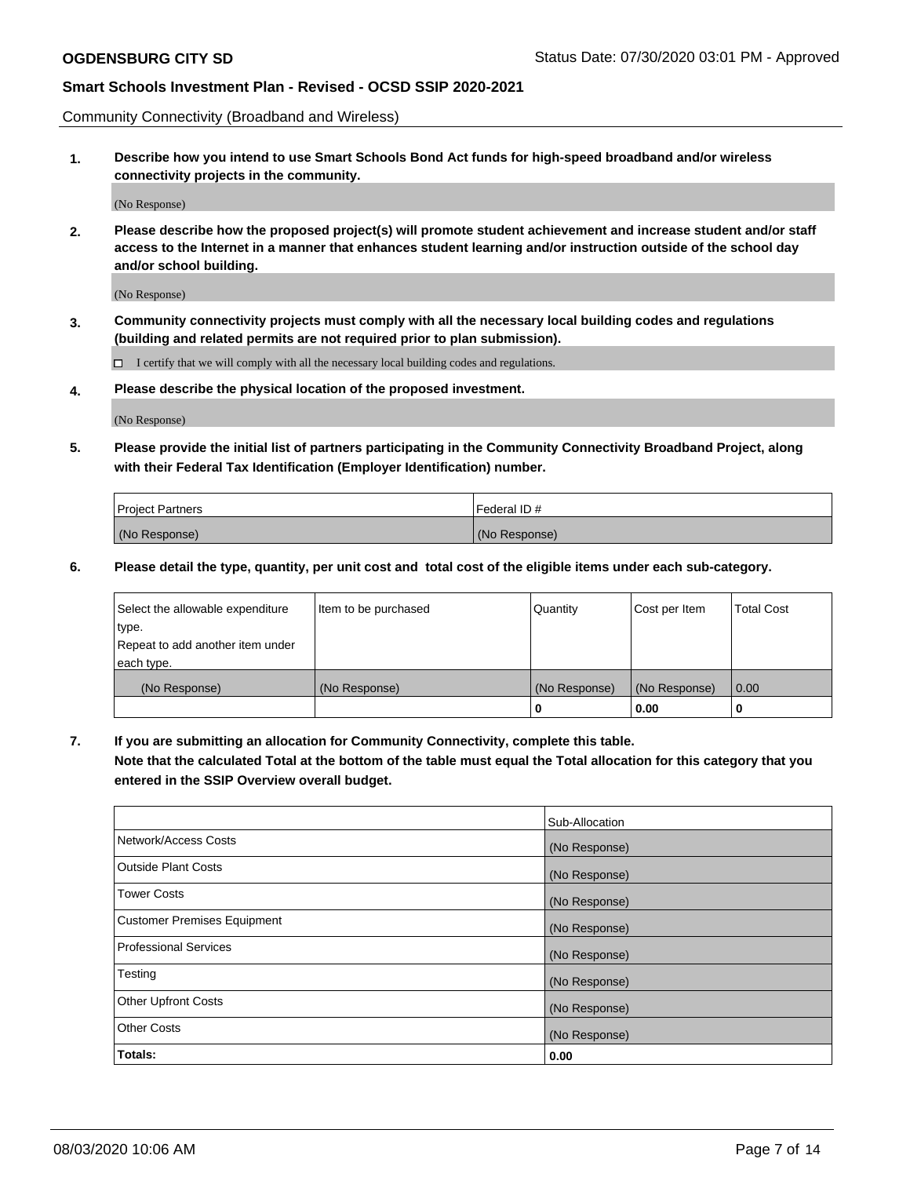Community Connectivity (Broadband and Wireless)

**1. Describe how you intend to use Smart Schools Bond Act funds for high-speed broadband and/or wireless connectivity projects in the community.**

(No Response)

**2. Please describe how the proposed project(s) will promote student achievement and increase student and/or staff access to the Internet in a manner that enhances student learning and/or instruction outside of the school day and/or school building.**

(No Response)

**3. Community connectivity projects must comply with all the necessary local building codes and regulations (building and related permits are not required prior to plan submission).**

 $\Box$  I certify that we will comply with all the necessary local building codes and regulations.

**4. Please describe the physical location of the proposed investment.**

(No Response)

**5. Please provide the initial list of partners participating in the Community Connectivity Broadband Project, along with their Federal Tax Identification (Employer Identification) number.**

| <b>Project Partners</b> | l Federal ID # |
|-------------------------|----------------|
| (No Response)           | (No Response)  |

**6. Please detail the type, quantity, per unit cost and total cost of the eligible items under each sub-category.**

| Select the allowable expenditure | Item to be purchased | Quantity      | Cost per Item | <b>Total Cost</b> |
|----------------------------------|----------------------|---------------|---------------|-------------------|
| type.                            |                      |               |               |                   |
| Repeat to add another item under |                      |               |               |                   |
| each type.                       |                      |               |               |                   |
| (No Response)                    | (No Response)        | (No Response) | (No Response) | 0.00              |
|                                  |                      | U             | 0.00          |                   |

**7. If you are submitting an allocation for Community Connectivity, complete this table.**

**Note that the calculated Total at the bottom of the table must equal the Total allocation for this category that you entered in the SSIP Overview overall budget.**

|                                    | Sub-Allocation |
|------------------------------------|----------------|
| Network/Access Costs               | (No Response)  |
| Outside Plant Costs                | (No Response)  |
| <b>Tower Costs</b>                 | (No Response)  |
| <b>Customer Premises Equipment</b> | (No Response)  |
| <b>Professional Services</b>       | (No Response)  |
| Testing                            | (No Response)  |
| <b>Other Upfront Costs</b>         | (No Response)  |
| <b>Other Costs</b>                 | (No Response)  |
| Totals:                            | 0.00           |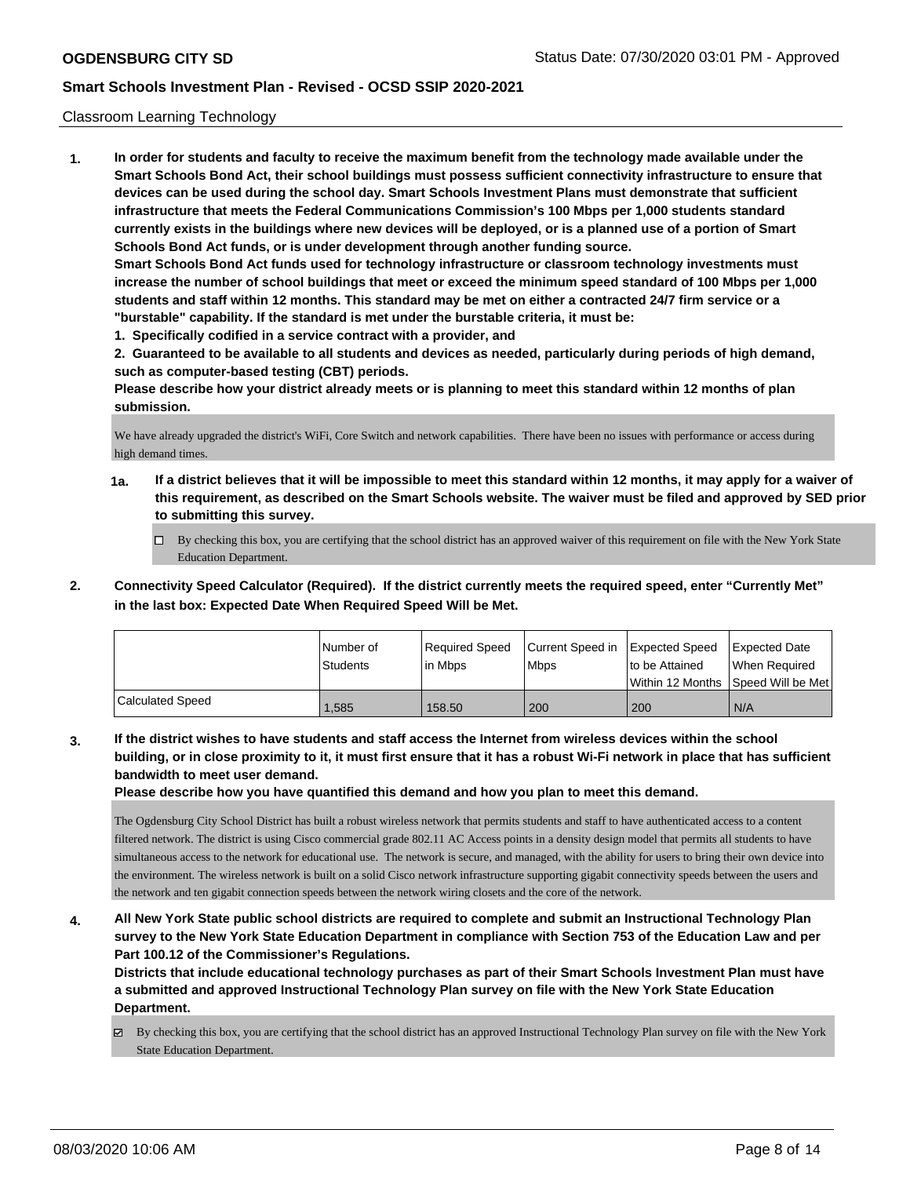### Classroom Learning Technology

**1. In order for students and faculty to receive the maximum benefit from the technology made available under the Smart Schools Bond Act, their school buildings must possess sufficient connectivity infrastructure to ensure that devices can be used during the school day. Smart Schools Investment Plans must demonstrate that sufficient infrastructure that meets the Federal Communications Commission's 100 Mbps per 1,000 students standard currently exists in the buildings where new devices will be deployed, or is a planned use of a portion of Smart Schools Bond Act funds, or is under development through another funding source. Smart Schools Bond Act funds used for technology infrastructure or classroom technology investments must increase the number of school buildings that meet or exceed the minimum speed standard of 100 Mbps per 1,000 students and staff within 12 months. This standard may be met on either a contracted 24/7 firm service or a "burstable" capability. If the standard is met under the burstable criteria, it must be:**

**1. Specifically codified in a service contract with a provider, and**

**2. Guaranteed to be available to all students and devices as needed, particularly during periods of high demand, such as computer-based testing (CBT) periods.**

**Please describe how your district already meets or is planning to meet this standard within 12 months of plan submission.**

We have already upgraded the district's WiFi, Core Switch and network capabilities. There have been no issues with performance or access during high demand times.

- **1a. If a district believes that it will be impossible to meet this standard within 12 months, it may apply for a waiver of this requirement, as described on the Smart Schools website. The waiver must be filed and approved by SED prior to submitting this survey.**
	- By checking this box, you are certifying that the school district has an approved waiver of this requirement on file with the New York State Education Department.
- **2. Connectivity Speed Calculator (Required). If the district currently meets the required speed, enter "Currently Met" in the last box: Expected Date When Required Speed Will be Met.**

|                  | l Number of<br>Students | Required Speed<br>l in Mbps | Current Speed in Expected Speed<br>l Mbps | to be Attained | <b>Expected Date</b><br>When Required<br> Within 12 Months  Speed Will be Met |
|------------------|-------------------------|-----------------------------|-------------------------------------------|----------------|-------------------------------------------------------------------------------|
| Calculated Speed | .585                    | 158.50                      | 200                                       | 200            | N/A                                                                           |

**3. If the district wishes to have students and staff access the Internet from wireless devices within the school building, or in close proximity to it, it must first ensure that it has a robust Wi-Fi network in place that has sufficient bandwidth to meet user demand.**

**Please describe how you have quantified this demand and how you plan to meet this demand.**

The Ogdensburg City School District has built a robust wireless network that permits students and staff to have authenticated access to a content filtered network. The district is using Cisco commercial grade 802.11 AC Access points in a density design model that permits all students to have simultaneous access to the network for educational use. The network is secure, and managed, with the ability for users to bring their own device into the environment. The wireless network is built on a solid Cisco network infrastructure supporting gigabit connectivity speeds between the users and the network and ten gigabit connection speeds between the network wiring closets and the core of the network.

**4. All New York State public school districts are required to complete and submit an Instructional Technology Plan survey to the New York State Education Department in compliance with Section 753 of the Education Law and per Part 100.12 of the Commissioner's Regulations.**

**Districts that include educational technology purchases as part of their Smart Schools Investment Plan must have a submitted and approved Instructional Technology Plan survey on file with the New York State Education Department.**

 $\boxtimes$  By checking this box, you are certifying that the school district has an approved Instructional Technology Plan survey on file with the New York State Education Department.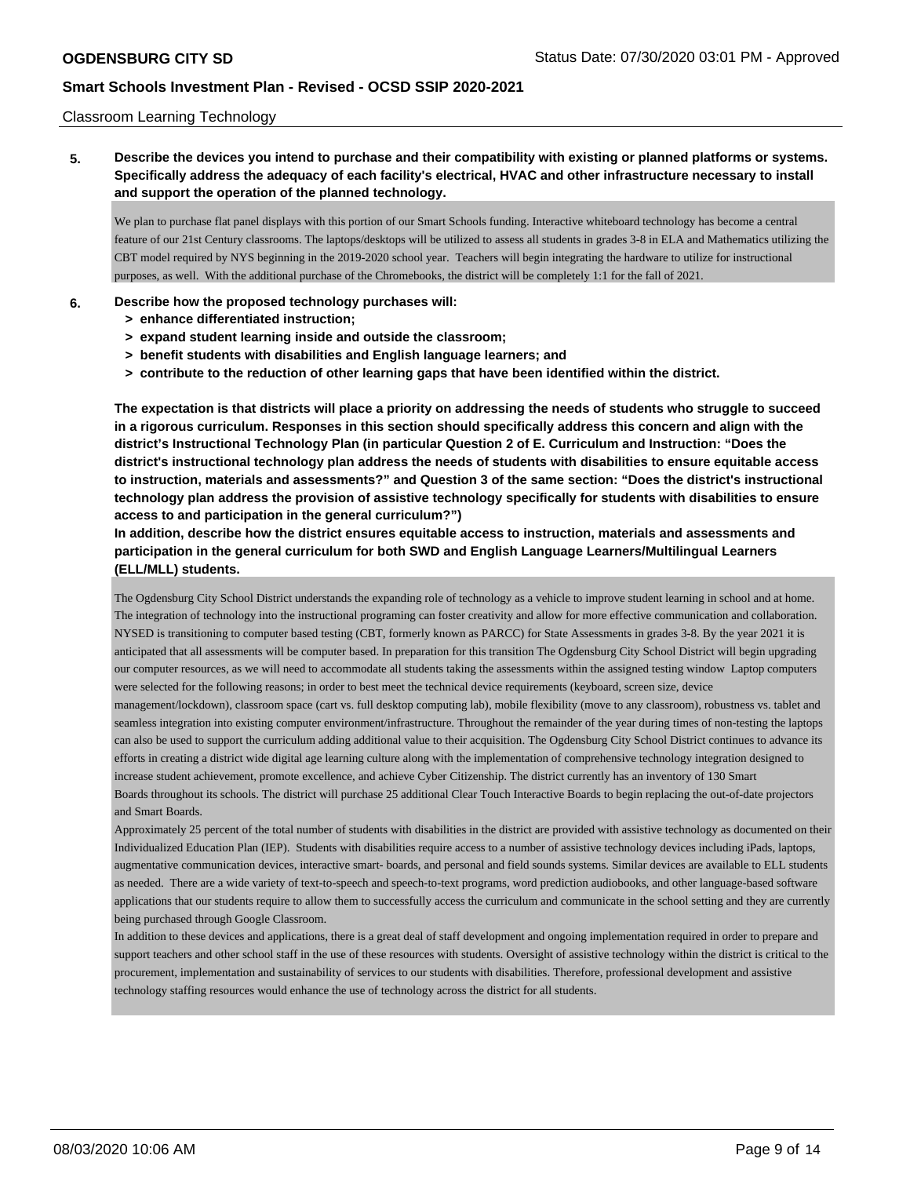### Classroom Learning Technology

**5. Describe the devices you intend to purchase and their compatibility with existing or planned platforms or systems. Specifically address the adequacy of each facility's electrical, HVAC and other infrastructure necessary to install and support the operation of the planned technology.**

We plan to purchase flat panel displays with this portion of our Smart Schools funding. Interactive whiteboard technology has become a central feature of our 21st Century classrooms. The laptops/desktops will be utilized to assess all students in grades 3-8 in ELA and Mathematics utilizing the CBT model required by NYS beginning in the 2019-2020 school year. Teachers will begin integrating the hardware to utilize for instructional purposes, as well. With the additional purchase of the Chromebooks, the district will be completely 1:1 for the fall of 2021.

### **6. Describe how the proposed technology purchases will:**

- **> enhance differentiated instruction;**
- **> expand student learning inside and outside the classroom;**
- **> benefit students with disabilities and English language learners; and**
- **> contribute to the reduction of other learning gaps that have been identified within the district.**

**The expectation is that districts will place a priority on addressing the needs of students who struggle to succeed in a rigorous curriculum. Responses in this section should specifically address this concern and align with the district's Instructional Technology Plan (in particular Question 2 of E. Curriculum and Instruction: "Does the district's instructional technology plan address the needs of students with disabilities to ensure equitable access to instruction, materials and assessments?" and Question 3 of the same section: "Does the district's instructional technology plan address the provision of assistive technology specifically for students with disabilities to ensure access to and participation in the general curriculum?")**

**In addition, describe how the district ensures equitable access to instruction, materials and assessments and participation in the general curriculum for both SWD and English Language Learners/Multilingual Learners (ELL/MLL) students.**

The Ogdensburg City School District understands the expanding role of technology as a vehicle to improve student learning in school and at home. The integration of technology into the instructional programing can foster creativity and allow for more effective communication and collaboration. NYSED is transitioning to computer based testing (CBT, formerly known as PARCC) for State Assessments in grades 3-8. By the year 2021 it is anticipated that all assessments will be computer based. In preparation for this transition The Ogdensburg City School District will begin upgrading our computer resources, as we will need to accommodate all students taking the assessments within the assigned testing window Laptop computers were selected for the following reasons; in order to best meet the technical device requirements (keyboard, screen size, device

management/lockdown), classroom space (cart vs. full desktop computing lab), mobile flexibility (move to any classroom), robustness vs. tablet and seamless integration into existing computer environment/infrastructure. Throughout the remainder of the year during times of non-testing the laptops can also be used to support the curriculum adding additional value to their acquisition. The Ogdensburg City School District continues to advance its efforts in creating a district wide digital age learning culture along with the implementation of comprehensive technology integration designed to increase student achievement, promote excellence, and achieve Cyber Citizenship. The district currently has an inventory of 130 Smart Boards throughout its schools. The district will purchase 25 additional Clear Touch Interactive Boards to begin replacing the out-of-date projectors and Smart Boards.

Approximately 25 percent of the total number of students with disabilities in the district are provided with assistive technology as documented on their Individualized Education Plan (IEP). Students with disabilities require access to a number of assistive technology devices including iPads, laptops, augmentative communication devices, interactive smart- boards, and personal and field sounds systems. Similar devices are available to ELL students as needed. There are a wide variety of text-to-speech and speech-to-text programs, word prediction audiobooks, and other language-based software applications that our students require to allow them to successfully access the curriculum and communicate in the school setting and they are currently being purchased through Google Classroom.

In addition to these devices and applications, there is a great deal of staff development and ongoing implementation required in order to prepare and support teachers and other school staff in the use of these resources with students. Oversight of assistive technology within the district is critical to the procurement, implementation and sustainability of services to our students with disabilities. Therefore, professional development and assistive technology staffing resources would enhance the use of technology across the district for all students.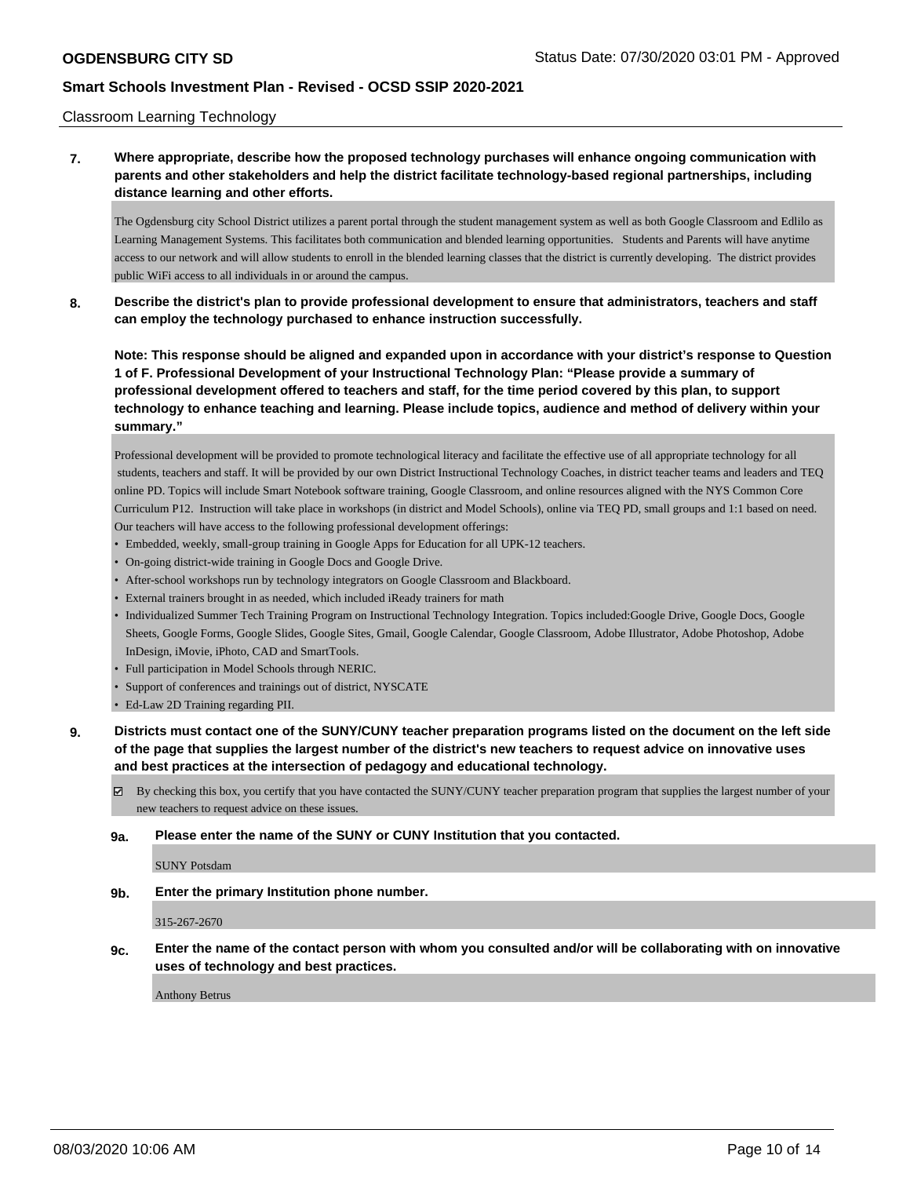### Classroom Learning Technology

## **7. Where appropriate, describe how the proposed technology purchases will enhance ongoing communication with parents and other stakeholders and help the district facilitate technology-based regional partnerships, including distance learning and other efforts.**

The Ogdensburg city School District utilizes a parent portal through the student management system as well as both Google Classroom and Edlilo as Learning Management Systems. This facilitates both communication and blended learning opportunities. Students and Parents will have anytime access to our network and will allow students to enroll in the blended learning classes that the district is currently developing. The district provides public WiFi access to all individuals in or around the campus.

**8. Describe the district's plan to provide professional development to ensure that administrators, teachers and staff can employ the technology purchased to enhance instruction successfully.**

**Note: This response should be aligned and expanded upon in accordance with your district's response to Question 1 of F. Professional Development of your Instructional Technology Plan: "Please provide a summary of professional development offered to teachers and staff, for the time period covered by this plan, to support technology to enhance teaching and learning. Please include topics, audience and method of delivery within your summary."**

Professional development will be provided to promote technological literacy and facilitate the effective use of all appropriate technology for all students, teachers and staff. It will be provided by our own District Instructional Technology Coaches, in district teacher teams and leaders and TEQ online PD. Topics will include Smart Notebook software training, Google Classroom, and online resources aligned with the NYS Common Core Curriculum P12. Instruction will take place in workshops (in district and Model Schools), online via TEQ PD, small groups and 1:1 based on need. Our teachers will have access to the following professional development offerings:

- Embedded, weekly, small-group training in Google Apps for Education for all UPK-12 teachers.
- On-going district-wide training in Google Docs and Google Drive.
- After-school workshops run by technology integrators on Google Classroom and Blackboard.
- External trainers brought in as needed, which included iReady trainers for math
- Individualized Summer Tech Training Program on Instructional Technology Integration. Topics included:Google Drive, Google Docs, Google Sheets, Google Forms, Google Slides, Google Sites, Gmail, Google Calendar, Google Classroom, Adobe Illustrator, Adobe Photoshop, Adobe InDesign, iMovie, iPhoto, CAD and SmartTools.
- Full participation in Model Schools through NERIC.
- Support of conferences and trainings out of district, NYSCATE
- Ed-Law 2D Training regarding PII.
- **9. Districts must contact one of the SUNY/CUNY teacher preparation programs listed on the document on the left side of the page that supplies the largest number of the district's new teachers to request advice on innovative uses and best practices at the intersection of pedagogy and educational technology.**

By checking this box, you certify that you have contacted the SUNY/CUNY teacher preparation program that supplies the largest number of your new teachers to request advice on these issues.

#### **9a. Please enter the name of the SUNY or CUNY Institution that you contacted.**

SUNY Potsdam

**9b. Enter the primary Institution phone number.**

315-267-2670

**9c. Enter the name of the contact person with whom you consulted and/or will be collaborating with on innovative uses of technology and best practices.**

Anthony Betrus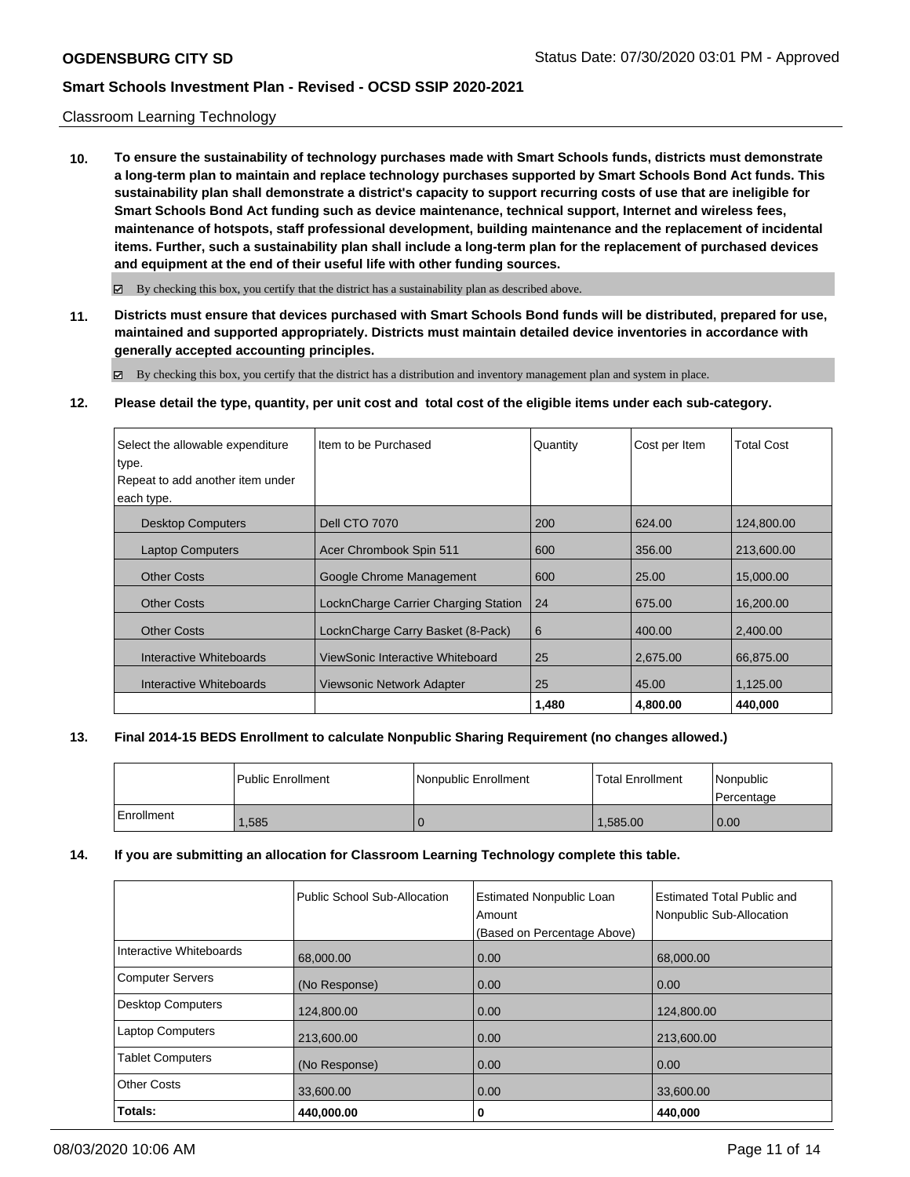### Classroom Learning Technology

**10. To ensure the sustainability of technology purchases made with Smart Schools funds, districts must demonstrate a long-term plan to maintain and replace technology purchases supported by Smart Schools Bond Act funds. This sustainability plan shall demonstrate a district's capacity to support recurring costs of use that are ineligible for Smart Schools Bond Act funding such as device maintenance, technical support, Internet and wireless fees, maintenance of hotspots, staff professional development, building maintenance and the replacement of incidental items. Further, such a sustainability plan shall include a long-term plan for the replacement of purchased devices and equipment at the end of their useful life with other funding sources.**

 $\boxtimes$  By checking this box, you certify that the district has a sustainability plan as described above.

**11. Districts must ensure that devices purchased with Smart Schools Bond funds will be distributed, prepared for use, maintained and supported appropriately. Districts must maintain detailed device inventories in accordance with generally accepted accounting principles.**

By checking this box, you certify that the district has a distribution and inventory management plan and system in place.

#### **12. Please detail the type, quantity, per unit cost and total cost of the eligible items under each sub-category.**

| Select the allowable expenditure<br>type. | Item to be Purchased                 | Quantity | Cost per Item | <b>Total Cost</b> |
|-------------------------------------------|--------------------------------------|----------|---------------|-------------------|
| Repeat to add another item under          |                                      |          |               |                   |
| each type.                                |                                      |          |               |                   |
| <b>Desktop Computers</b>                  | <b>Dell CTO 7070</b>                 | 200      | 624.00        | 124,800.00        |
| <b>Laptop Computers</b>                   | Acer Chrombook Spin 511              | 600      | 356.00        | 213,600.00        |
| <b>Other Costs</b>                        | Google Chrome Management             | 600      | 25.00         | 15,000,00         |
| <b>Other Costs</b>                        | LocknCharge Carrier Charging Station | 24       | 675.00        | 16,200,00         |
| <b>Other Costs</b>                        | LocknCharge Carry Basket (8-Pack)    | 6        | 400.00        | 2,400.00          |
| Interactive Whiteboards                   | ViewSonic Interactive Whiteboard     | 25       | 2.675.00      | 66,875.00         |
| Interactive Whiteboards                   | Viewsonic Network Adapter            | 25       | 45.00         | 1,125.00          |
|                                           |                                      | 1,480    | 4,800.00      | 440,000           |

#### **13. Final 2014-15 BEDS Enrollment to calculate Nonpublic Sharing Requirement (no changes allowed.)**

|            | Public Enrollment | Nonpublic Enrollment | Total Enrollment | l Nonpublic<br>l Percentage |
|------------|-------------------|----------------------|------------------|-----------------------------|
| Enrollment | .585              |                      | 1.585.00         | $\overline{0.00}$           |

### **14. If you are submitting an allocation for Classroom Learning Technology complete this table.**

|                          | Public School Sub-Allocation | <b>Estimated Nonpublic Loan</b><br>Amount<br>(Based on Percentage Above) | <b>Estimated Total Public and</b><br>Nonpublic Sub-Allocation |
|--------------------------|------------------------------|--------------------------------------------------------------------------|---------------------------------------------------------------|
| Interactive Whiteboards  | 68,000.00                    | 0.00                                                                     | 68,000.00                                                     |
| Computer Servers         | (No Response)                | 0.00                                                                     | 0.00                                                          |
| <b>Desktop Computers</b> | 124,800.00                   | 0.00                                                                     | 124,800.00                                                    |
| <b>Laptop Computers</b>  | 213,600.00                   | 0.00                                                                     | 213,600.00                                                    |
| <b>Tablet Computers</b>  | (No Response)                | 0.00                                                                     | 0.00                                                          |
| <b>Other Costs</b>       | 33,600.00                    | 0.00                                                                     | 33,600.00                                                     |
| Totals:                  | 440,000.00                   | 0                                                                        | 440,000                                                       |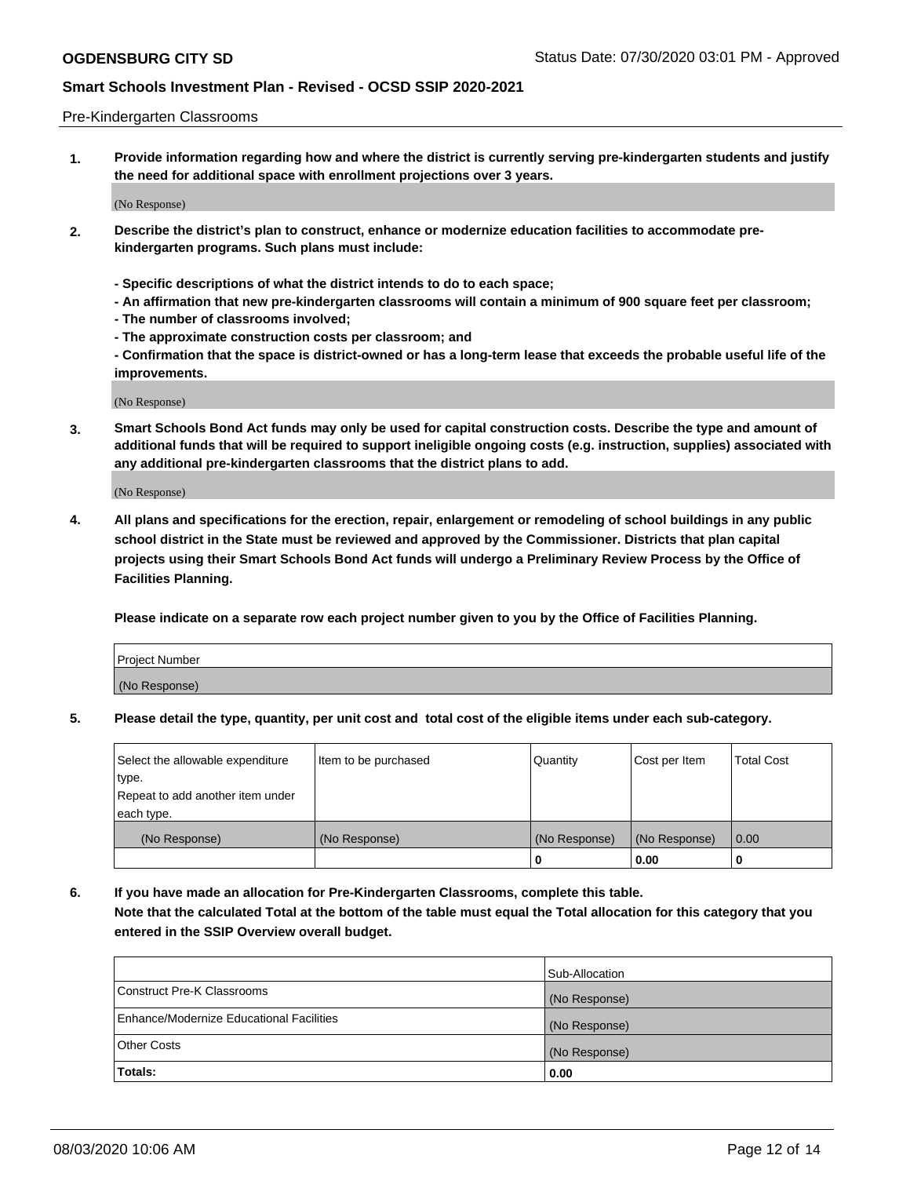#### Pre-Kindergarten Classrooms

**1. Provide information regarding how and where the district is currently serving pre-kindergarten students and justify the need for additional space with enrollment projections over 3 years.**

(No Response)

- **2. Describe the district's plan to construct, enhance or modernize education facilities to accommodate prekindergarten programs. Such plans must include:**
	- **Specific descriptions of what the district intends to do to each space;**
	- **An affirmation that new pre-kindergarten classrooms will contain a minimum of 900 square feet per classroom;**
	- **The number of classrooms involved;**
	- **The approximate construction costs per classroom; and**
	- **Confirmation that the space is district-owned or has a long-term lease that exceeds the probable useful life of the improvements.**

(No Response)

**3. Smart Schools Bond Act funds may only be used for capital construction costs. Describe the type and amount of additional funds that will be required to support ineligible ongoing costs (e.g. instruction, supplies) associated with any additional pre-kindergarten classrooms that the district plans to add.**

(No Response)

**4. All plans and specifications for the erection, repair, enlargement or remodeling of school buildings in any public school district in the State must be reviewed and approved by the Commissioner. Districts that plan capital projects using their Smart Schools Bond Act funds will undergo a Preliminary Review Process by the Office of Facilities Planning.**

**Please indicate on a separate row each project number given to you by the Office of Facilities Planning.**

| Project Number |  |
|----------------|--|
| (No Response)  |  |
|                |  |

**5. Please detail the type, quantity, per unit cost and total cost of the eligible items under each sub-category.**

| Select the allowable expenditure | Item to be purchased | Quantity      | Cost per Item | <b>Total Cost</b> |
|----------------------------------|----------------------|---------------|---------------|-------------------|
| type.                            |                      |               |               |                   |
| Repeat to add another item under |                      |               |               |                   |
| each type.                       |                      |               |               |                   |
| (No Response)                    | (No Response)        | (No Response) | (No Response) | 0.00              |
|                                  |                      | U             | 0.00          |                   |

**6. If you have made an allocation for Pre-Kindergarten Classrooms, complete this table. Note that the calculated Total at the bottom of the table must equal the Total allocation for this category that you entered in the SSIP Overview overall budget.**

|                                          | Sub-Allocation |
|------------------------------------------|----------------|
| Construct Pre-K Classrooms               | (No Response)  |
| Enhance/Modernize Educational Facilities | (No Response)  |
| <b>Other Costs</b>                       | (No Response)  |
| Totals:                                  | 0.00           |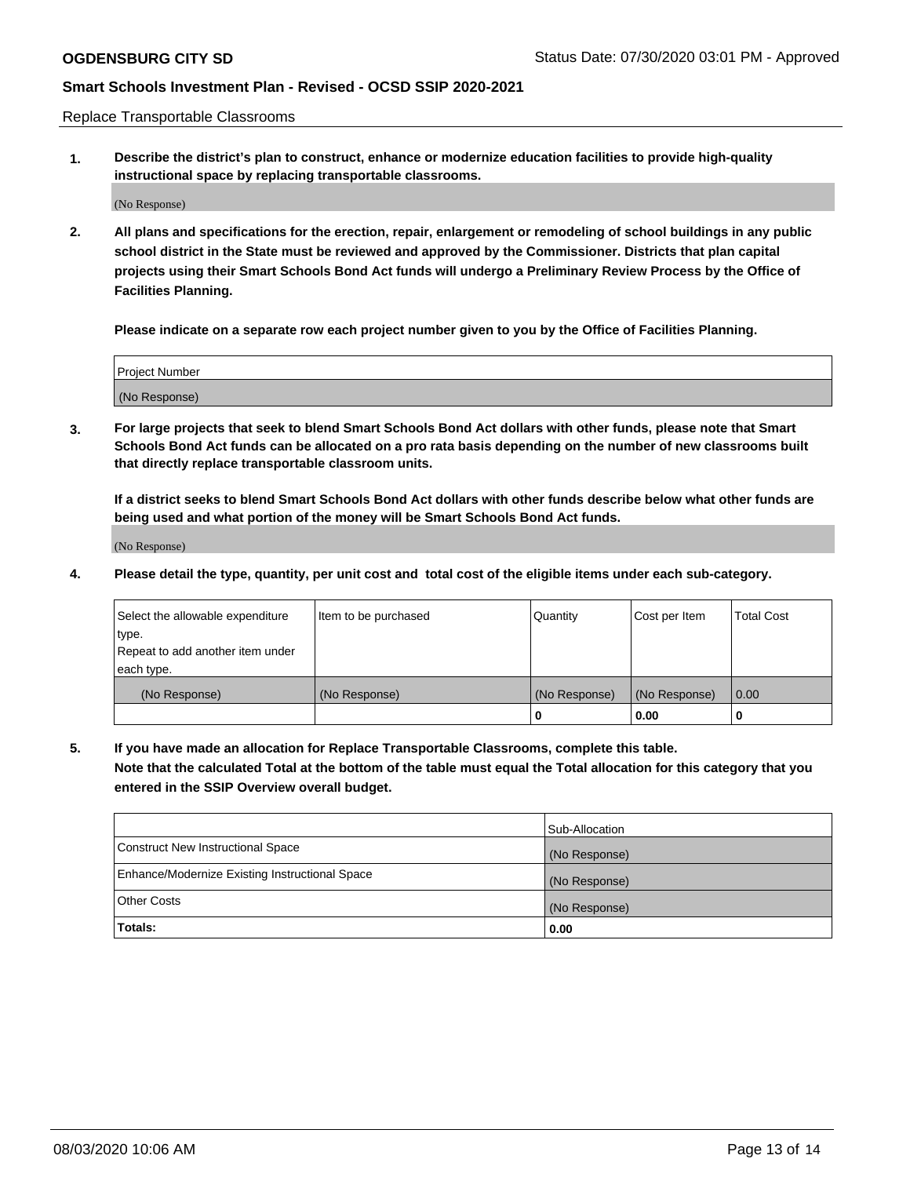Replace Transportable Classrooms

**1. Describe the district's plan to construct, enhance or modernize education facilities to provide high-quality instructional space by replacing transportable classrooms.**

(No Response)

**2. All plans and specifications for the erection, repair, enlargement or remodeling of school buildings in any public school district in the State must be reviewed and approved by the Commissioner. Districts that plan capital projects using their Smart Schools Bond Act funds will undergo a Preliminary Review Process by the Office of Facilities Planning.**

**Please indicate on a separate row each project number given to you by the Office of Facilities Planning.**

| Project Number |  |
|----------------|--|
|                |  |
|                |  |
|                |  |
|                |  |
| (No Response)  |  |
|                |  |
|                |  |
|                |  |

**3. For large projects that seek to blend Smart Schools Bond Act dollars with other funds, please note that Smart Schools Bond Act funds can be allocated on a pro rata basis depending on the number of new classrooms built that directly replace transportable classroom units.**

**If a district seeks to blend Smart Schools Bond Act dollars with other funds describe below what other funds are being used and what portion of the money will be Smart Schools Bond Act funds.**

(No Response)

**4. Please detail the type, quantity, per unit cost and total cost of the eligible items under each sub-category.**

| Select the allowable expenditure | Item to be purchased | Quantity      | Cost per Item | Total Cost |
|----------------------------------|----------------------|---------------|---------------|------------|
| ∣type.                           |                      |               |               |            |
| Repeat to add another item under |                      |               |               |            |
| each type.                       |                      |               |               |            |
| (No Response)                    | (No Response)        | (No Response) | (No Response) | 0.00       |
|                                  |                      | u             | 0.00          |            |

**5. If you have made an allocation for Replace Transportable Classrooms, complete this table. Note that the calculated Total at the bottom of the table must equal the Total allocation for this category that you entered in the SSIP Overview overall budget.**

|                                                | Sub-Allocation |
|------------------------------------------------|----------------|
| Construct New Instructional Space              | (No Response)  |
| Enhance/Modernize Existing Instructional Space | (No Response)  |
| Other Costs                                    | (No Response)  |
| Totals:                                        | 0.00           |